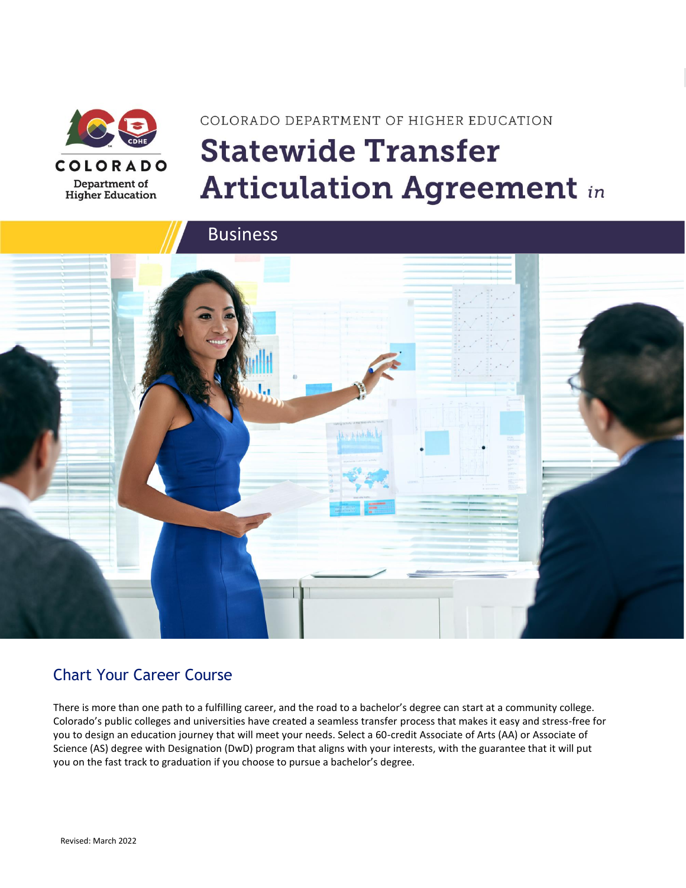

# COLORADO DEPARTMENT OF HIGHER EDUCATION **Statewide Transfer Articulation Agreement in**



### Chart Your Career Course

There is more than one path to a fulfilling career, and the road to a bachelor's degree can start at a community college. Colorado's public colleges and universities have created a seamless transfer process that makes it easy and stress-free for you to design an education journey that will meet your needs. Select a 60-credit Associate of Arts (AA) or Associate of Science (AS) degree with Designation (DwD) program that aligns with your interests, with the guarantee that it will put you on the fast track to graduation if you choose to pursue a bachelor's degree.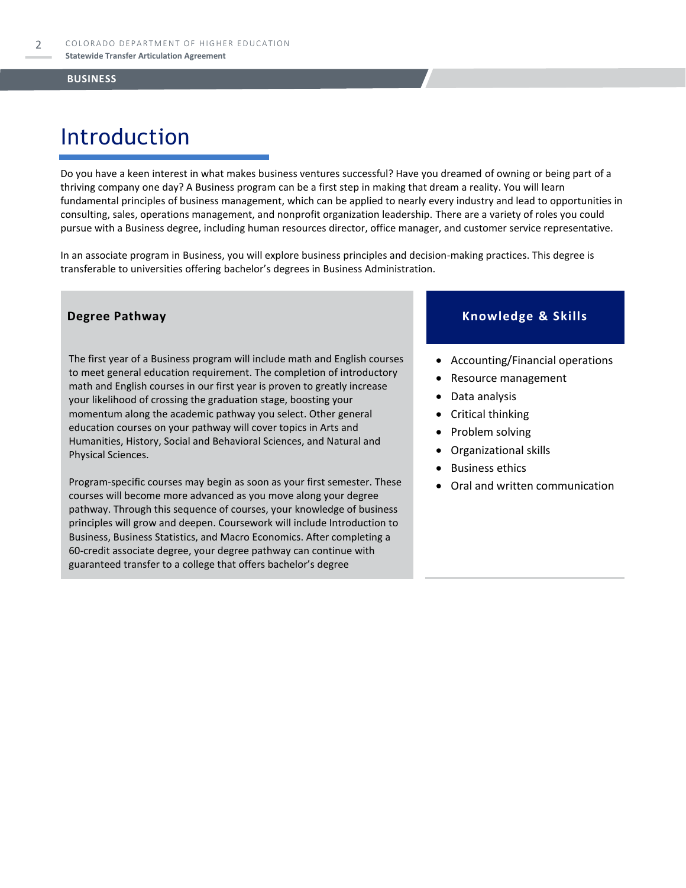### Introduction

Do you have a keen interest in what makes business ventures successful? Have you dreamed of owning or being part of a thriving company one day? A Business program can be a first step in making that dream a reality. You will learn fundamental principles of business management, which can be applied to nearly every industry and lead to opportunities in consulting, sales, operations management, and nonprofit organization leadership. There are a variety of roles you could pursue with a Business degree, including human resources director, office manager, and customer service representative.

In an associate program in Business, you will explore business principles and decision-making practices. This degree is transferable to universities offering bachelor's degrees in Business Administration.

The first year of a Business program will include math and English courses to meet general education requirement. The completion of introductory math and English courses in our first year is proven to greatly increase your likelihood of crossing the graduation stage, boosting your momentum along the academic pathway you select. Other general education courses on your pathway will cover topics in Arts and Humanities, History, Social and Behavioral Sciences, and Natural and Physical Sciences.

Program-specific courses may begin as soon as your first semester. These courses will become more advanced as you move along your degree pathway. Through this sequence of courses, your knowledge of business principles will grow and deepen. Coursework will include Introduction to Business, Business Statistics, and Macro Economics. After completing a 60-credit associate degree, your degree pathway can continue with guaranteed transfer to a college that offers bachelor's degree

#### **Degree Pathway Knowledge & Skills**

- Accounting/Financial operations
- Resource management
- Data analysis
- Critical thinking
- Problem solving
- Organizational skills
- **Business ethics**
- Oral and written communication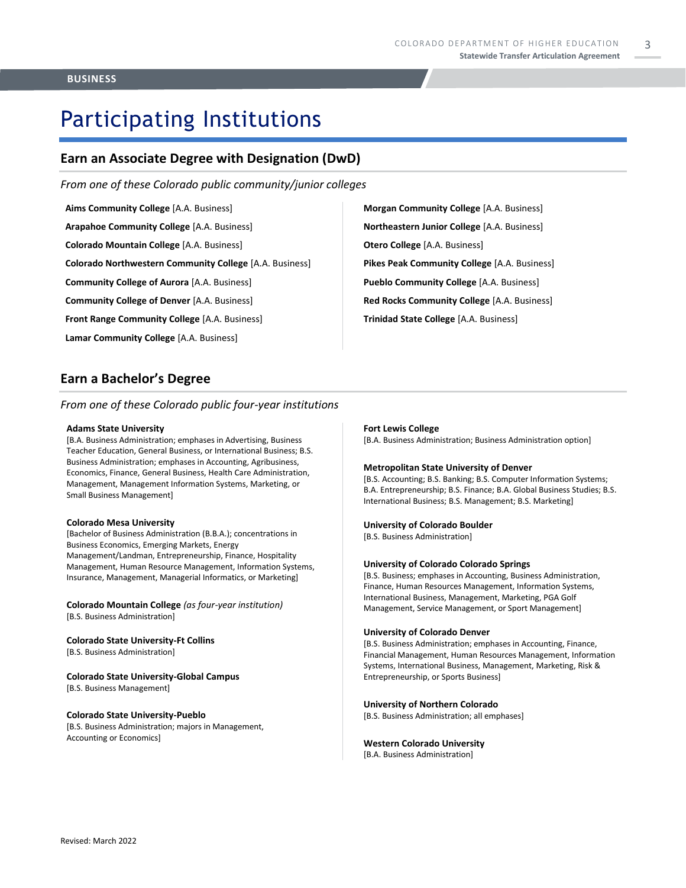# Participating Institutions

#### **Earn an Associate Degree with Designation (DwD)**

*From one of these Colorado public community/junior colleges*

- **Aims Community College** [A.A. Business] **Arapahoe Community College** [A.A. Business] **Colorado Mountain College** [A.A. Business] **Colorado Northwestern Community College** [A.A. Business] **Community College of Aurora** [A.A. Business] **Community College of Denver** [A.A. Business] **Front Range Community College** [A.A. Business] **Lamar Community College** [A.A. Business]
- **Morgan Community College** [A.A. Business] **Northeastern Junior College** [A.A. Business] **Otero College** [A.A. Business] **Pikes Peak Community College** [A.A. Business] **Pueblo Community College** [A.A. Business] **Red Rocks Community College** [A.A. Business] **Trinidad State College** [A.A. Business]

#### **Earn a Bachelor's Degree**

*From one of these Colorado public four-year institutions*

#### **Adams State University**

[B.A. Business Administration; emphases in Advertising, Business Teacher Education, General Business, or International Business; B.S. Business Administration; emphases in Accounting, Agribusiness, Economics, Finance, General Business, Health Care Administration, Management, Management Information Systems, Marketing, or Small Business Management]

#### **Colorado Mesa University**

[Bachelor of Business Administration (B.B.A.); concentrations in Business Economics, Emerging Markets, Energy Management/Landman, Entrepreneurship, Finance, Hospitality Management, Human Resource Management, Information Systems, Insurance, Management, Managerial Informatics, or Marketing]

**Colorado Mountain College** *(as four-year institution)* [B.S. Business Administration]

**Colorado State University-Ft Collins**  [B.S. Business Administration]

#### **Colorado State University-Global Campus**

[B.S. Business Management]

#### **Colorado State University-Pueblo**

[B.S. Business Administration; majors in Management, Accounting or Economics]

#### **Fort Lewis College**

[B.A. Business Administration; Business Administration option]

#### **Metropolitan State University of Denver**

[B.S. Accounting; B.S. Banking; B.S. Computer Information Systems; B.A. Entrepreneurship; B.S. Finance; B.A. Global Business Studies; B.S. International Business; B.S. Management; B.S. Marketing]

#### **University of Colorado Boulder**

[B.S. Business Administration]

#### **University of Colorado Colorado Springs**

[B.S. Business; emphases in Accounting, Business Administration, Finance, Human Resources Management, Information Systems, International Business, Management, Marketing, PGA Golf Management, Service Management, or Sport Management]

#### **University of Colorado Denver**

[B.S. Business Administration; emphases in Accounting, Finance, Financial Management, Human Resources Management, Information Systems, International Business, Management, Marketing, Risk & Entrepreneurship, or Sports Business]

#### **University of Northern Colorado**

[B.S. Business Administration; all emphases]

#### **Western Colorado University**

[B.A. Business Administration]

3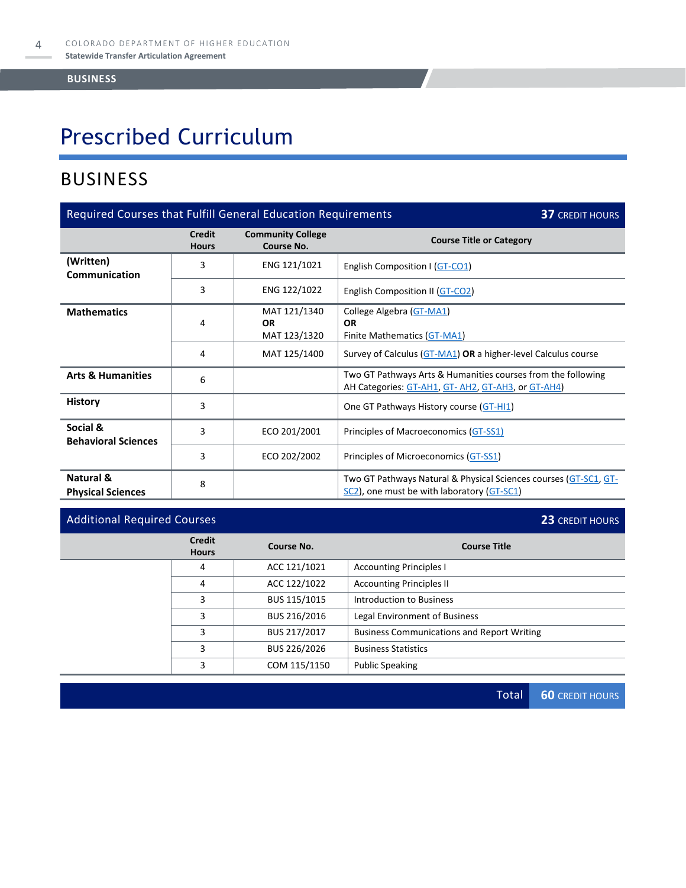# Prescribed Curriculum

### BUSINESS

| Required Courses that Fulfill General Education Requirements<br><b>37 CREDIT HOURS</b> |                        |                                           |                                                                                                                   |  |
|----------------------------------------------------------------------------------------|------------------------|-------------------------------------------|-------------------------------------------------------------------------------------------------------------------|--|
|                                                                                        | Credit<br><b>Hours</b> | <b>Community College</b><br>Course No.    | <b>Course Title or Category</b>                                                                                   |  |
| (Written)<br><b>Communication</b>                                                      | 3                      | ENG 121/1021                              | English Composition I (GT-CO1)                                                                                    |  |
|                                                                                        | 3                      | ENG 122/1022                              | English Composition II (GT-CO2)                                                                                   |  |
| <b>Mathematics</b>                                                                     | 4                      | MAT 121/1340<br><b>OR</b><br>MAT 123/1320 | College Algebra (GT-MA1)<br><b>OR</b><br>Finite Mathematics (GT-MA1)                                              |  |
|                                                                                        | 4                      | MAT 125/1400                              | Survey of Calculus (GT-MA1) OR a higher-level Calculus course                                                     |  |
| <b>Arts &amp; Humanities</b>                                                           | 6                      |                                           | Two GT Pathways Arts & Humanities courses from the following<br>AH Categories: GT-AH1, GT-AH2, GT-AH3, or GT-AH4) |  |
| <b>History</b>                                                                         | 3                      |                                           | One GT Pathways History course (GT-HI1)                                                                           |  |
| Social &<br><b>Behavioral Sciences</b>                                                 | 3                      | ECO 201/2001                              | Principles of Macroeconomics (GT-SS1)                                                                             |  |
|                                                                                        | 3                      | ECO 202/2002                              | Principles of Microeconomics (GT-SS1)                                                                             |  |
| Natural &<br><b>Physical Sciences</b>                                                  | 8                      |                                           | Two GT Pathways Natural & Physical Sciences courses (GT-SC1, GT-<br>SC2), one must be with laboratory (GT-SC1)    |  |

### Additional Required Courses **23** CREDIT HOURS

|  | <b>Credit</b><br><b>Hours</b> | Course No.   | <b>Course Title</b>                               |  |
|--|-------------------------------|--------------|---------------------------------------------------|--|
|  | 4                             | ACC 121/1021 | <b>Accounting Principles I</b>                    |  |
|  | 4                             | ACC 122/1022 | <b>Accounting Principles II</b>                   |  |
|  | 3                             | BUS 115/1015 | Introduction to Business                          |  |
|  | 3                             | BUS 216/2016 | Legal Environment of Business                     |  |
|  | 3                             | BUS 217/2017 | <b>Business Communications and Report Writing</b> |  |
|  | 3                             | BUS 226/2026 | <b>Business Statistics</b>                        |  |
|  | 3                             | COM 115/1150 | <b>Public Speaking</b>                            |  |

Total **60** CREDIT HOURS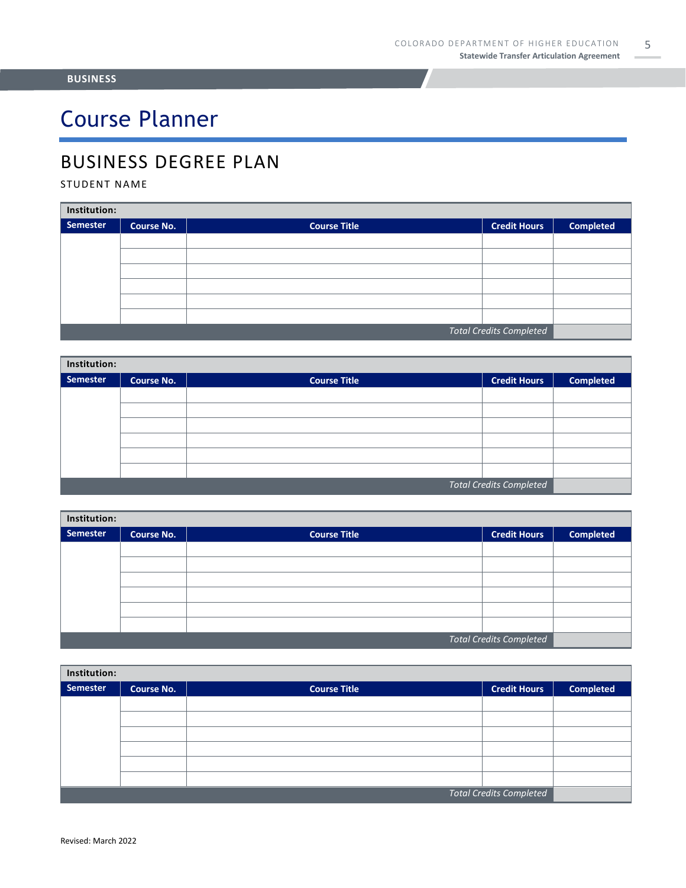# Course Planner

### BUSINESS DEGREE PLAN

#### STUDENT NAME

| Institution:                   |                   |                     |                     |                  |  |
|--------------------------------|-------------------|---------------------|---------------------|------------------|--|
| Semester                       | <b>Course No.</b> | <b>Course Title</b> | <b>Credit Hours</b> | <b>Completed</b> |  |
|                                |                   |                     |                     |                  |  |
|                                |                   |                     |                     |                  |  |
|                                |                   |                     |                     |                  |  |
|                                |                   |                     |                     |                  |  |
|                                |                   |                     |                     |                  |  |
|                                |                   |                     |                     |                  |  |
| <b>Total Credits Completed</b> |                   |                     |                     |                  |  |

| Institution:                   |                   |                     |                     |                  |  |
|--------------------------------|-------------------|---------------------|---------------------|------------------|--|
| Semester                       | <b>Course No.</b> | <b>Course Title</b> | <b>Credit Hours</b> | <b>Completed</b> |  |
|                                |                   |                     |                     |                  |  |
|                                |                   |                     |                     |                  |  |
|                                |                   |                     |                     |                  |  |
|                                |                   |                     |                     |                  |  |
|                                |                   |                     |                     |                  |  |
|                                |                   |                     |                     |                  |  |
| <b>Total Credits Completed</b> |                   |                     |                     |                  |  |

| Institution:                   |                   |                     |                     |                  |  |
|--------------------------------|-------------------|---------------------|---------------------|------------------|--|
| Semester                       | <b>Course No.</b> | <b>Course Title</b> | <b>Credit Hours</b> | <b>Completed</b> |  |
|                                |                   |                     |                     |                  |  |
|                                |                   |                     |                     |                  |  |
|                                |                   |                     |                     |                  |  |
|                                |                   |                     |                     |                  |  |
|                                |                   |                     |                     |                  |  |
|                                |                   |                     |                     |                  |  |
| <b>Total Credits Completed</b> |                   |                     |                     |                  |  |

| Institution:                   |                   |                     |                     |                  |  |
|--------------------------------|-------------------|---------------------|---------------------|------------------|--|
| Semester                       | <b>Course No.</b> | <b>Course Title</b> | <b>Credit Hours</b> | <b>Completed</b> |  |
|                                |                   |                     |                     |                  |  |
|                                |                   |                     |                     |                  |  |
|                                |                   |                     |                     |                  |  |
|                                |                   |                     |                     |                  |  |
|                                |                   |                     |                     |                  |  |
|                                |                   |                     |                     |                  |  |
| <b>Total Credits Completed</b> |                   |                     |                     |                  |  |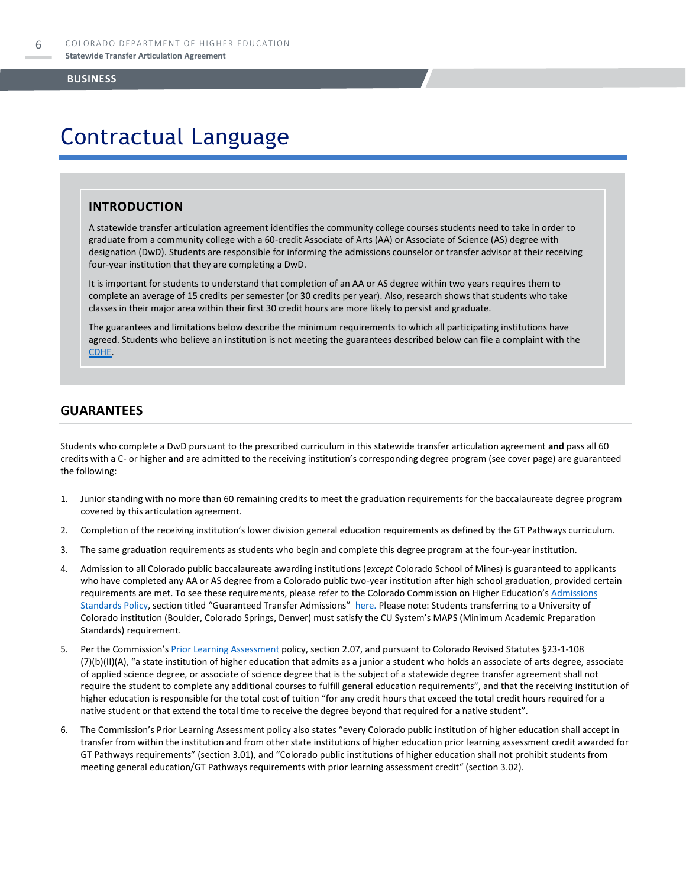### Contractual Language

#### **INTRODUCTION**

A statewide transfer articulation agreement identifies the community college courses students need to take in order to graduate from a community college with a 60-credit Associate of Arts (AA) or Associate of Science (AS) degree with designation (DwD). Students are responsible for informing the admissions counselor or transfer advisor at their receiving four-year institution that they are completing a DwD.

It is important for students to understand that completion of an AA or AS degree within two years requires them to complete an average of 15 credits per semester (or 30 credits per year). Also, research shows that students who take classes in their major area within their first 30 credit hours are more likely to persist and graduate.

The guarantees and limitations below describe the minimum requirements to which all participating institutions have agreed. Students who believe an institution is not meeting the guarantees described below can file a complaint with the [CDHE.](https://highered.colorado.gov/filing-student-complaint)

#### **GUARANTEES**

Students who complete a DwD pursuant to the prescribed curriculum in this statewide transfer articulation agreement **and** pass all 60 credits with a C- or higher **and** are admitted to the receiving institution's corresponding degree program (see cover page) are guaranteed the following:

- 1. Junior standing with no more than 60 remaining credits to meet the graduation requirements for the baccalaureate degree program covered by this articulation agreement.
- 2. Completion of the receiving institution's lower division general education requirements as defined by the GT Pathways curriculum.
- 3. The same graduation requirements as students who begin and complete this degree program at the four-year institution.
- 4. Admission to all Colorado public baccalaureate awarding institutions (*except* Colorado School of Mines) is guaranteed to applicants who have completed any AA or AS degree from a Colorado public two-year institution after high school graduation, provided certain requirements are met. To see these requirements, please refer to the Colorado Commission on Higher Education's Admissions [Standards Policy](https://highered.colorado.gov/sites/highered/files/2020-03/i-partf_0.pdf), section titled "Guaranteed Transfer Admissions" [here.](https://highered.colorado.gov/educators/policy-funding/cche-policies-procedures) Please note: Students transferring to a University of Colorado institution (Boulder, Colorado Springs, Denver) must satisfy the CU System's MAPS (Minimum Academic Preparation Standards) requirement.
- 5. Per the Commission's [Prior Learning Assessment](https://highered.colorado.gov/sites/highered/files/2020-03/i-partx.pdf) policy, section 2.07, and pursuant to Colorado Revised Statutes §23-1-108 (7)(b)(II)(A), "a state institution of higher education that admits as a junior a student who holds an associate of arts degree, associate of applied science degree, or associate of science degree that is the subject of a statewide degree transfer agreement shall not require the student to complete any additional courses to fulfill general education requirements", and that the receiving institution of higher education is responsible for the total cost of tuition "for any credit hours that exceed the total credit hours required for a native student or that extend the total time to receive the degree beyond that required for a native student".
- 6. The Commission's Prior Learning Assessment policy also states "every Colorado public institution of higher education shall accept in transfer from within the institution and from other state institutions of higher education prior learning assessment credit awarded for GT Pathways requirements" (section 3.01), and "Colorado public institutions of higher education shall not prohibit students from meeting general education/GT Pathways requirements with prior learning assessment credit" (section 3.02).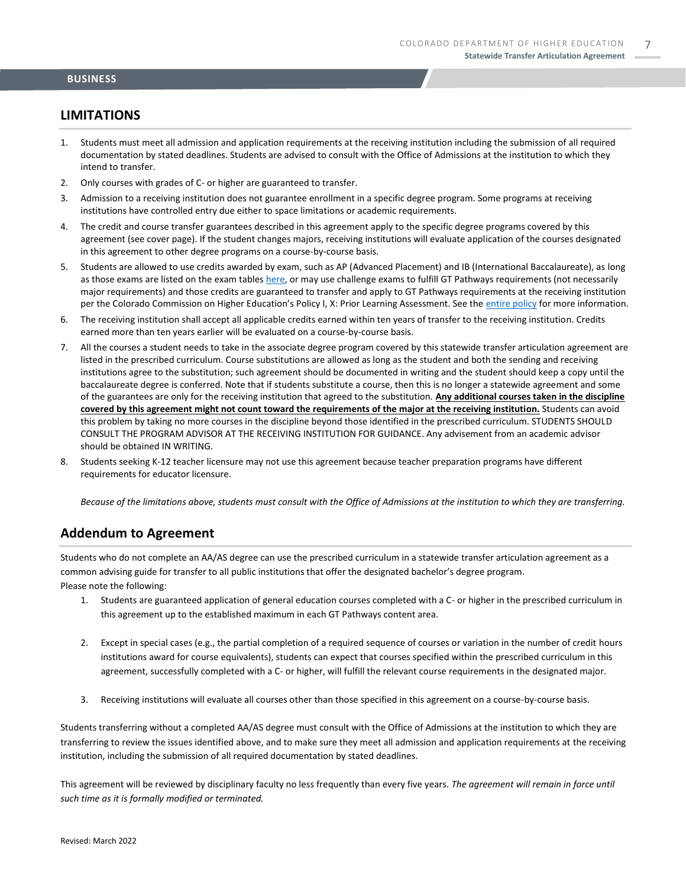#### **LIMITATIONS**

- 1. Students must meet all admission and application requirements at the receiving institution including the submission of all required documentation by stated deadlines. Students are advised to consult with the Office of Admissions at the institution to which they intend to transfer.
- 2. Only courses with grades of C- or higher are guaranteed to transfer.
- 3. Admission to a receiving institution does not guarantee enrollment in a specific degree program. Some programs at receiving institutions have controlled entry due either to space limitations or academic requirements.
- 4. The credit and course transfer guarantees described in this agreement apply to the specific degree programs covered by this agreement (see cover page). If the student changes majors, receiving institutions will evaluate application of the courses designated in this agreement to other degree programs on a course-by-course basis.
- 5. Students are allowed to use credits awarded by exam, such as AP (Advanced Placement) and IB (International Baccalaureate), as long as those exams are listed on the exam table[s here,](https://highered.colorado.gov/get-credit-for-what-you-already-know) or may use challenge exams to fulfill GT Pathways requirements (not necessarily major requirements) and those credits are guaranteed to transfer and apply to GT Pathways requirements at the receiving institution per the Colorado Commission on Higher Education's Policy I, X: Prior Learning Assessment. See the [entire policy](https://highered.colorado.gov/sites/highered/files/2020-03/i-partx.pdf) for more information.
- 6. The receiving institution shall accept all applicable credits earned within ten years of transfer to the receiving institution. Credits earned more than ten years earlier will be evaluated on a course-by-course basis.
- 7. All the courses a student needs to take in the associate degree program covered by this statewide transfer articulation agreement are listed in the prescribed curriculum. Course substitutions are allowed as long as the student and both the sending and receiving institutions agree to the substitution; such agreement should be documented in writing and the student should keep a copy until the baccalaureate degree is conferred. Note that if students substitute a course, then this is no longer a statewide agreement and some of the guarantees are only for the receiving institution that agreed to the substitution. **Any additional courses taken in the discipline covered by this agreement might not count toward the requirements of the major at the receiving institution.** Students can avoid this problem by taking no more courses in the discipline beyond those identified in the prescribed curriculum. STUDENTS SHOULD CONSULT THE PROGRAM ADVISOR AT THE RECEIVING INSTITUTION FOR GUIDANCE. Any advisement from an academic advisor should be obtained IN WRITING.
- 8. Students seeking K-12 teacher licensure may not use this agreement because teacher preparation programs have different requirements for educator licensure.

*Because of the limitations above, students must consult with the Office of Admissions at the institution to which they are transferring.*

#### **Addendum to Agreement**

Students who do not complete an AA/AS degree can use the prescribed curriculum in a statewide transfer articulation agreement as a common advising guide for transfer to all public institutions that offer the designated bachelor's degree program. Please note the following:

- 1. Students are guaranteed application of general education courses completed with a C- or higher in the prescribed curriculum in this agreement up to the established maximum in each GT Pathways content area.
- 2. Except in special cases (e.g., the partial completion of a required sequence of courses or variation in the number of credit hours institutions award for course equivalents), students can expect that courses specified within the prescribed curriculum in this agreement, successfully completed with a C- or higher, will fulfill the relevant course requirements in the designated major.
- 3. Receiving institutions will evaluate all courses other than those specified in this agreement on a course-by-course basis.

Students transferring without a completed AA/AS degree must consult with the Office of Admissions at the institution to which they are transferring to review the issues identified above, and to make sure they meet all admission and application requirements at the receiving institution, including the submission of all required documentation by stated deadlines.

This agreement will be reviewed by disciplinary faculty no less frequently than every five years. *The agreement will remain in force until such time as it is formally modified or terminated.*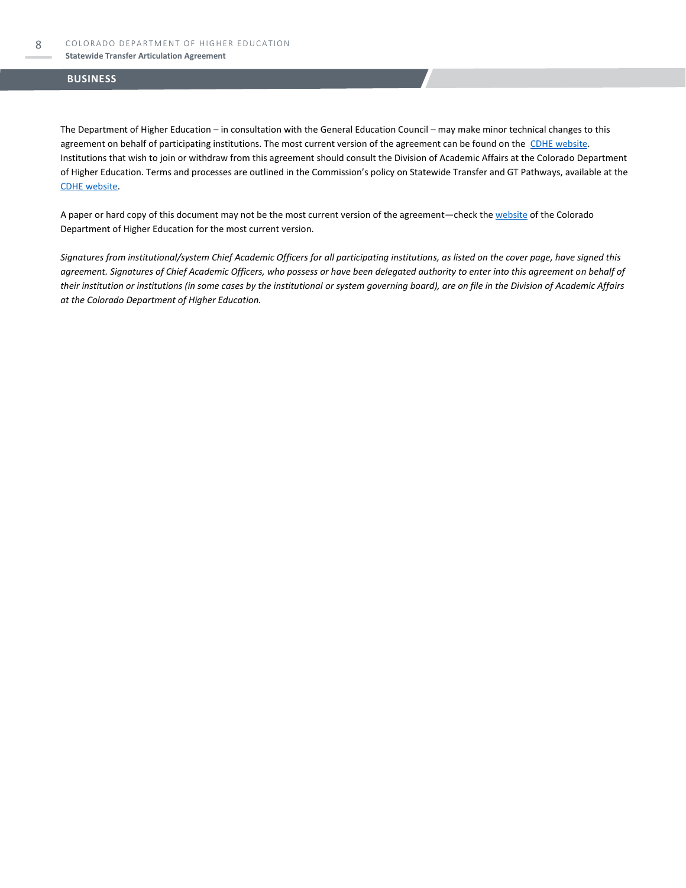#### **Statewide Transfer Articulation Agreement**

#### **BUSINESS**

The Department of Higher Education – in consultation with the General Education Council – may make minor technical changes to this agreement on behalf of participating institutions. The most current version of the agreement can be found on the [CDHE website.](https://highered.colorado.gov/transfer-degrees) Institutions that wish to join or withdraw from this agreement should consult the Division of Academic Affairs at the Colorado Department of Higher Education. Terms and processes are outlined in the Commission's policy on Statewide Transfer and GT Pathways, available at the [CDHE website.](https://highered.colorado.gov/educators/policy-funding/general-education-ge-council/gtpathways/transfer-agreements)

A paper or hard copy of this document may not be the most current version of the agreement—check th[e website](https://highered.colorado.gov/transfer-degrees) of the Colorado Department of Higher Education for the most current version.

*Signatures from institutional/system Chief Academic Officers for all participating institutions, as listed on the cover page, have signed this agreement. Signatures of Chief Academic Officers, who possess or have been delegated authority to enter into this agreement on behalf of their institution or institutions (in some cases by the institutional or system governing board), are on file in the Division of Academic Affairs at the Colorado Department of Higher Education.*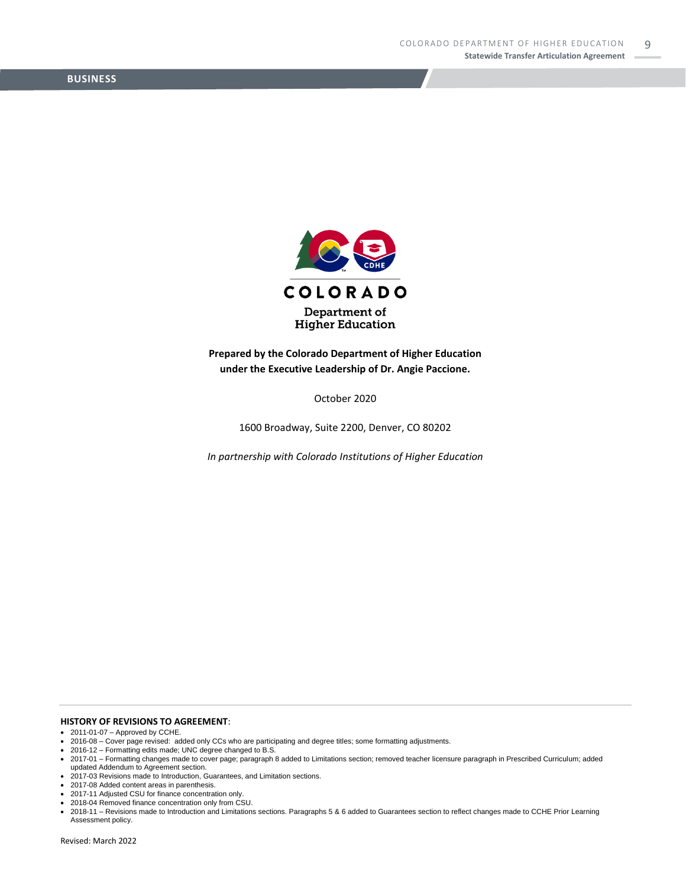

**Prepared by the Colorado Department of Higher Education under the Executive Leadership of Dr. Angie Paccione.**

October 2020

1600 Broadway, Suite 2200, Denver, CO 80202

*In partnership with Colorado Institutions of Higher Education*

**HISTORY OF REVISIONS TO AGREEMENT**:

- 2011-01-07 Approved by CCHE.
- 2016-08 Cover page revised: added only CCs who are participating and degree titles; some formatting adjustments. 2016-12 Formatting edits made; UNC degree changed to B.S.
- 
- 2017-01 Formatting changes made to cover page; paragraph 8 added to Limitations section; removed teacher licensure paragraph in Prescribed Curriculum; added updated Addendum to Agreement section.
- 2017-03 Revisions made to Introduction, Guarantees, and Limitation sections.
- 2017-08 Added content areas in parenthesis.
- 2017-11 Adjusted CSU for finance concentration only.
- 2018-04 Removed finance concentration only from CSU.

<sup>•</sup> 2018-11 – Revisions made to Introduction and Limitations sections. Paragraphs 5 & 6 added to Guarantees section to reflect changes made to CCHE Prior Learning Assessment policy.